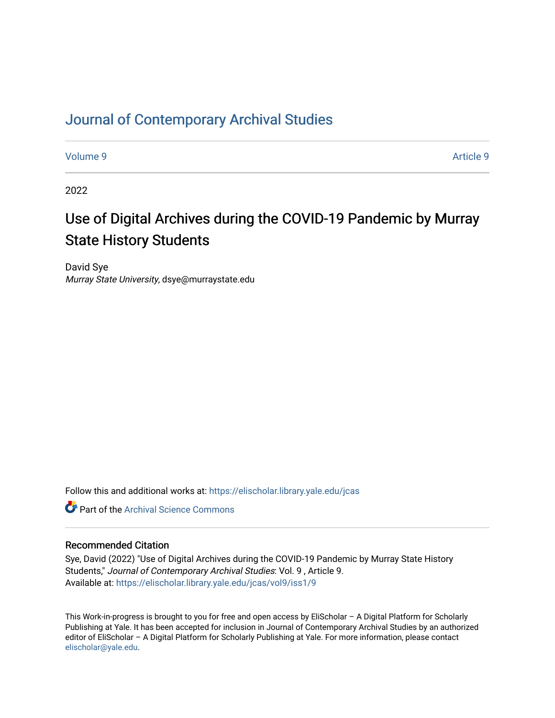# [Journal of Contemporary Archival Studies](https://elischolar.library.yale.edu/jcas)

[Volume 9](https://elischolar.library.yale.edu/jcas/vol9) [Article 9](https://elischolar.library.yale.edu/jcas/vol9/iss1/9) 

2022

# Use of Digital Archives during the COVID-19 Pandemic by Murray State History Students

David Sye Murray State University, dsye@murraystate.edu

Follow this and additional works at: [https://elischolar.library.yale.edu/jcas](https://elischolar.library.yale.edu/jcas?utm_source=elischolar.library.yale.edu%2Fjcas%2Fvol9%2Fiss1%2F9&utm_medium=PDF&utm_campaign=PDFCoverPages) 

**C** Part of the Archival Science Commons

#### Recommended Citation

Sye, David (2022) "Use of Digital Archives during the COVID-19 Pandemic by Murray State History Students," Journal of Contemporary Archival Studies: Vol. 9 , Article 9. Available at: [https://elischolar.library.yale.edu/jcas/vol9/iss1/9](https://elischolar.library.yale.edu/jcas/vol9/iss1/9?utm_source=elischolar.library.yale.edu%2Fjcas%2Fvol9%2Fiss1%2F9&utm_medium=PDF&utm_campaign=PDFCoverPages)

This Work-in-progress is brought to you for free and open access by EliScholar – A Digital Platform for Scholarly Publishing at Yale. It has been accepted for inclusion in Journal of Contemporary Archival Studies by an authorized editor of EliScholar – A Digital Platform for Scholarly Publishing at Yale. For more information, please contact [elischolar@yale.edu.](mailto:elischolar@yale.edu)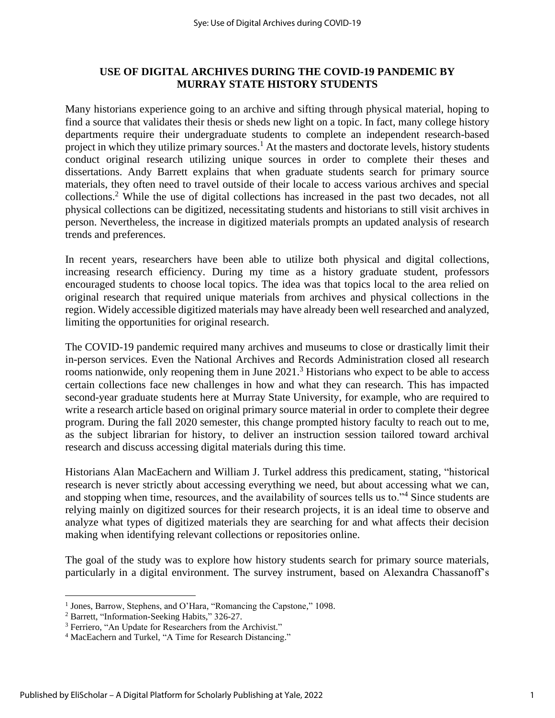# **USE OF DIGITAL ARCHIVES DURING THE COVID-19 PANDEMIC BY MURRAY STATE HISTORY STUDENTS**

Many historians experience going to an archive and sifting through physical material, hoping to find a source that validates their thesis or sheds new light on a topic. In fact, many college history departments require their undergraduate students to complete an independent research-based project in which they utilize primary sources.<sup>1</sup> At the masters and doctorate levels, history students conduct original research utilizing unique sources in order to complete their theses and dissertations. Andy Barrett explains that when graduate students search for primary source materials, they often need to travel outside of their locale to access various archives and special collections. <sup>2</sup> While the use of digital collections has increased in the past two decades, not all physical collections can be digitized, necessitating students and historians to still visit archives in person. Nevertheless, the increase in digitized materials prompts an updated analysis of research trends and preferences.

In recent years, researchers have been able to utilize both physical and digital collections, increasing research efficiency. During my time as a history graduate student, professors encouraged students to choose local topics. The idea was that topics local to the area relied on original research that required unique materials from archives and physical collections in the region. Widely accessible digitized materials may have already been well researched and analyzed, limiting the opportunities for original research.

The COVID-19 pandemic required many archives and museums to close or drastically limit their in-person services. Even the National Archives and Records Administration closed all research rooms nationwide, only reopening them in June  $2021$ .<sup>3</sup> Historians who expect to be able to access certain collections face new challenges in how and what they can research. This has impacted second-year graduate students here at Murray State University, for example, who are required to write a research article based on original primary source material in order to complete their degree program. During the fall 2020 semester, this change prompted history faculty to reach out to me, as the subject librarian for history, to deliver an instruction session tailored toward archival research and discuss accessing digital materials during this time.

Historians Alan MacEachern and William J. Turkel address this predicament, stating, "historical research is never strictly about accessing everything we need, but about accessing what we can, and stopping when time, resources, and the availability of sources tells us to."<sup>4</sup> Since students are relying mainly on digitized sources for their research projects, it is an ideal time to observe and analyze what types of digitized materials they are searching for and what affects their decision making when identifying relevant collections or repositories online.

The goal of the study was to explore how history students search for primary source materials, particularly in a digital environment. The survey instrument, based on Alexandra Chassanoff's

<sup>&</sup>lt;sup>1</sup> Jones, Barrow, Stephens, and O'Hara, "Romancing the Capstone," 1098.

<sup>2</sup> Barrett, "Information-Seeking Habits," 326-27.

<sup>&</sup>lt;sup>3</sup> Ferriero, "An Update for Researchers from the Archivist."

<sup>&</sup>lt;sup>4</sup> MacEachern and Turkel, "A Time for Research Distancing."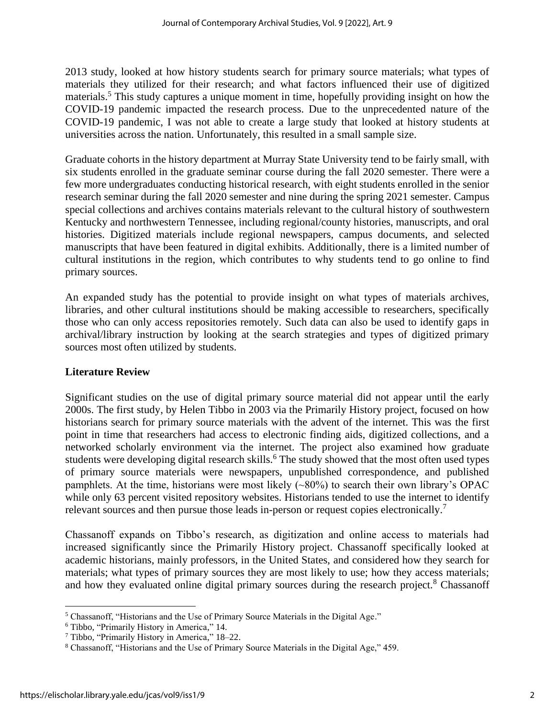2013 study, looked at how history students search for primary source materials; what types of materials they utilized for their research; and what factors influenced their use of digitized materials.<sup>5</sup> This study captures a unique moment in time, hopefully providing insight on how the COVID-19 pandemic impacted the research process. Due to the unprecedented nature of the COVID-19 pandemic, I was not able to create a large study that looked at history students at universities across the nation. Unfortunately, this resulted in a small sample size.

Graduate cohorts in the history department at Murray State University tend to be fairly small, with six students enrolled in the graduate seminar course during the fall 2020 semester. There were a few more undergraduates conducting historical research, with eight students enrolled in the senior research seminar during the fall 2020 semester and nine during the spring 2021 semester. Campus special collections and archives contains materials relevant to the cultural history of southwestern Kentucky and northwestern Tennessee, including regional/county histories, manuscripts, and oral histories. Digitized materials include regional newspapers, campus documents, and selected manuscripts that have been featured in digital exhibits. Additionally, there is a limited number of cultural institutions in the region, which contributes to why students tend to go online to find primary sources.

An expanded study has the potential to provide insight on what types of materials archives, libraries, and other cultural institutions should be making accessible to researchers, specifically those who can only access repositories remotely. Such data can also be used to identify gaps in archival/library instruction by looking at the search strategies and types of digitized primary sources most often utilized by students.

# **Literature Review**

Significant studies on the use of digital primary source material did not appear until the early 2000s. The first study, by Helen Tibbo in 2003 via the Primarily History project, focused on how historians search for primary source materials with the advent of the internet. This was the first point in time that researchers had access to electronic finding aids, digitized collections, and a networked scholarly environment via the internet. The project also examined how graduate students were developing digital research skills.<sup>6</sup> The study showed that the most often used types of primary source materials were newspapers, unpublished correspondence, and published pamphlets. At the time, historians were most likely (~80%) to search their own library's OPAC while only 63 percent visited repository websites. Historians tended to use the internet to identify relevant sources and then pursue those leads in-person or request copies electronically.<sup>7</sup>

Chassanoff expands on Tibbo's research, as digitization and online access to materials had increased significantly since the Primarily History project. Chassanoff specifically looked at academic historians, mainly professors, in the United States, and considered how they search for materials; what types of primary sources they are most likely to use; how they access materials; and how they evaluated online digital primary sources during the research project.<sup>8</sup> Chassanoff

<sup>&</sup>lt;sup>5</sup> Chassanoff, "Historians and the Use of Primary Source Materials in the Digital Age."

<sup>6</sup> Tibbo, "Primarily History in America," 14.

<sup>7</sup> Tibbo, "Primarily History in America," 18–22.

<sup>8</sup> Chassanoff, "Historians and the Use of Primary Source Materials in the Digital Age," 459.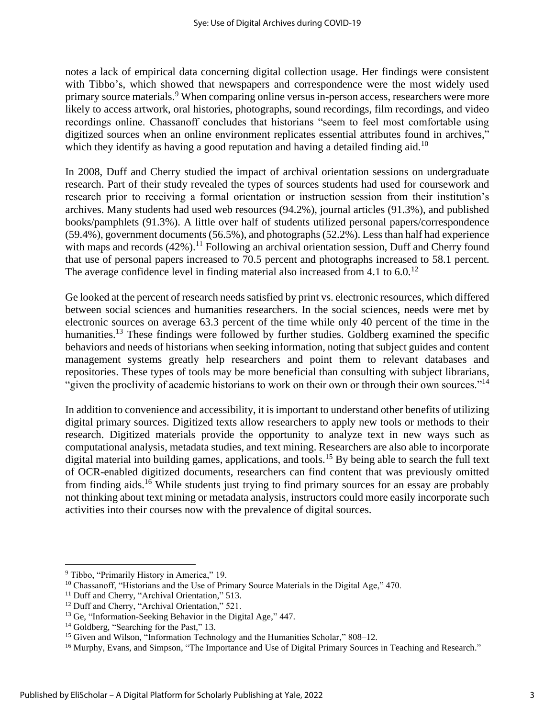notes a lack of empirical data concerning digital collection usage. Her findings were consistent with Tibbo's, which showed that newspapers and correspondence were the most widely used primary source materials.<sup>9</sup> When comparing online versus in-person access, researchers were more likely to access artwork, oral histories, photographs, sound recordings, film recordings, and video recordings online. Chassanoff concludes that historians "seem to feel most comfortable using digitized sources when an online environment replicates essential attributes found in archives," which they identify as having a good reputation and having a detailed finding aid.<sup>10</sup>

In 2008, Duff and Cherry studied the impact of archival orientation sessions on undergraduate research. Part of their study revealed the types of sources students had used for coursework and research prior to receiving a formal orientation or instruction session from their institution's archives. Many students had used web resources (94.2%), journal articles (91.3%), and published books/pamphlets (91.3%). A little over half of students utilized personal papers/correspondence (59.4%), government documents (56.5%), and photographs (52.2%). Less than half had experience with maps and records  $(42%)$ .<sup>11</sup> Following an archival orientation session, Duff and Cherry found that use of personal papers increased to 70.5 percent and photographs increased to 58.1 percent. The average confidence level in finding material also increased from 4.1 to  $6.0^{12}$ 

Ge looked at the percent of research needs satisfied by print vs. electronic resources, which differed between social sciences and humanities researchers. In the social sciences, needs were met by electronic sources on average 63.3 percent of the time while only 40 percent of the time in the humanities.<sup>13</sup> These findings were followed by further studies. Goldberg examined the specific behaviors and needs of historians when seeking information, noting that subject guides and content management systems greatly help researchers and point them to relevant databases and repositories. These types of tools may be more beneficial than consulting with subject librarians, "given the proclivity of academic historians to work on their own or through their own sources."<sup>14</sup>

In addition to convenience and accessibility, it is important to understand other benefits of utilizing digital primary sources. Digitized texts allow researchers to apply new tools or methods to their research. Digitized materials provide the opportunity to analyze text in new ways such as computational analysis, metadata studies, and text mining. Researchers are also able to incorporate digital material into building games, applications, and tools.<sup>15</sup> By being able to search the full text of OCR-enabled digitized documents, researchers can find content that was previously omitted from finding aids.<sup>16</sup> While students just trying to find primary sources for an essay are probably not thinking about text mining or metadata analysis, instructors could more easily incorporate such activities into their courses now with the prevalence of digital sources.

<sup>9</sup> Tibbo, "Primarily History in America," 19.

<sup>&</sup>lt;sup>10</sup> Chassanoff, "Historians and the Use of Primary Source Materials in the Digital Age," 470.

<sup>&</sup>lt;sup>11</sup> Duff and Cherry, "Archival Orientation," 513.

<sup>&</sup>lt;sup>12</sup> Duff and Cherry, "Archival Orientation," 521.

<sup>&</sup>lt;sup>13</sup> Ge, "Information-Seeking Behavior in the Digital Age," 447.

<sup>&</sup>lt;sup>14</sup> Goldberg, "Searching for the Past," 13.

<sup>&</sup>lt;sup>15</sup> Given and Wilson, "Information Technology and the Humanities Scholar," 808-12.

<sup>&</sup>lt;sup>16</sup> Murphy, Evans, and Simpson, "The Importance and Use of Digital Primary Sources in Teaching and Research."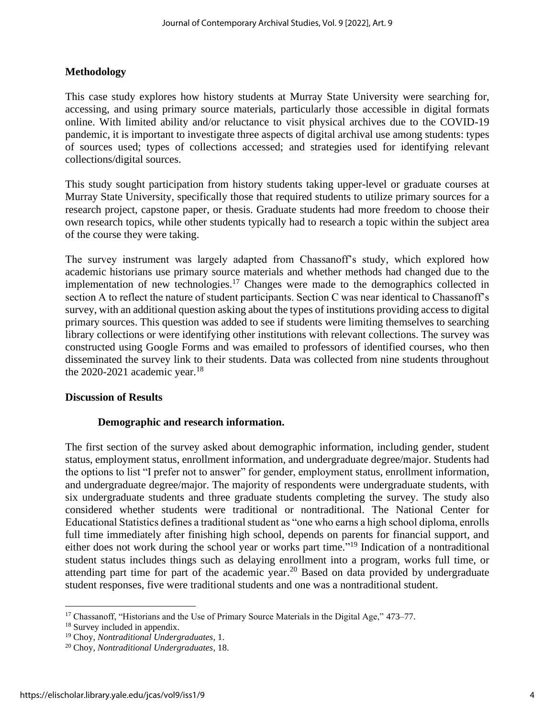#### **Methodology**

This case study explores how history students at Murray State University were searching for, accessing, and using primary source materials, particularly those accessible in digital formats online. With limited ability and/or reluctance to visit physical archives due to the COVID-19 pandemic, it is important to investigate three aspects of digital archival use among students: types of sources used; types of collections accessed; and strategies used for identifying relevant collections/digital sources.

This study sought participation from history students taking upper-level or graduate courses at Murray State University, specifically those that required students to utilize primary sources for a research project, capstone paper, or thesis. Graduate students had more freedom to choose their own research topics, while other students typically had to research a topic within the subject area of the course they were taking.

The survey instrument was largely adapted from Chassanoff's study, which explored how academic historians use primary source materials and whether methods had changed due to the implementation of new technologies.<sup>17</sup> Changes were made to the demographics collected in section A to reflect the nature of student participants. Section C was near identical to Chassanoff's survey, with an additional question asking about the types of institutions providing access to digital primary sources. This question was added to see if students were limiting themselves to searching library collections or were identifying other institutions with relevant collections. The survey was constructed using Google Forms and was emailed to professors of identified courses, who then disseminated the survey link to their students. Data was collected from nine students throughout the  $2020-2021$  academic year.<sup>18</sup>

#### **Discussion of Results**

#### **Demographic and research information.**

The first section of the survey asked about demographic information, including gender, student status, employment status, enrollment information, and undergraduate degree/major. Students had the options to list "I prefer not to answer" for gender, employment status, enrollment information, and undergraduate degree/major. The majority of respondents were undergraduate students, with six undergraduate students and three graduate students completing the survey. The study also considered whether students were traditional or nontraditional. The National Center for Educational Statistics defines a traditional student as "one who earns a high school diploma, enrolls full time immediately after finishing high school, depends on parents for financial support, and either does not work during the school year or works part time."<sup>19</sup> Indication of a nontraditional student status includes things such as delaying enrollment into a program, works full time, or attending part time for part of the academic year.<sup>20</sup> Based on data provided by undergraduate student responses, five were traditional students and one was a nontraditional student.

<sup>&</sup>lt;sup>17</sup> Chassanoff, "Historians and the Use of Primary Source Materials in the Digital Age," 473–77.

<sup>18</sup> Survey included in appendix.

<sup>19</sup> Choy, *Nontraditional Undergraduates*, 1.

<sup>20</sup> Choy, *Nontraditional Undergraduates*, 18.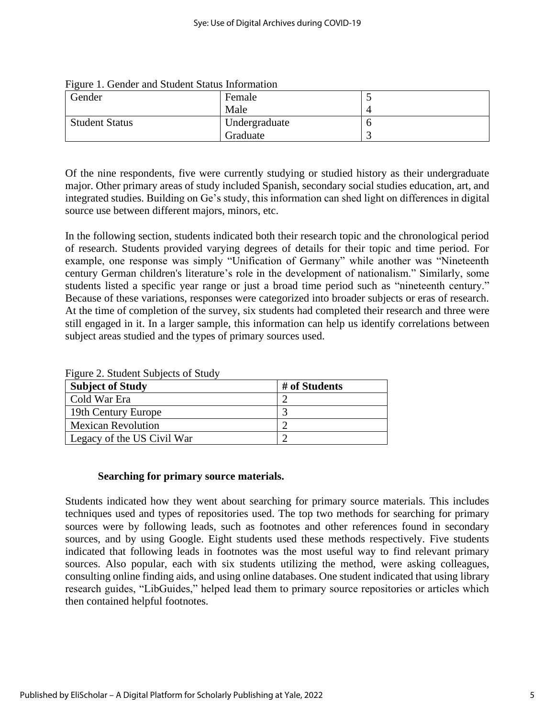| Gender                | Female        |  |
|-----------------------|---------------|--|
|                       | Male          |  |
| <b>Student Status</b> | Undergraduate |  |
|                       | Graduate      |  |

| Figure 1. Gender and Student Status Information |  |  |  |  |  |  |  |
|-------------------------------------------------|--|--|--|--|--|--|--|
|-------------------------------------------------|--|--|--|--|--|--|--|

Of the nine respondents, five were currently studying or studied history as their undergraduate major. Other primary areas of study included Spanish, secondary social studies education, art, and integrated studies. Building on Ge's study, this information can shed light on differences in digital source use between different majors, minors, etc.

In the following section, students indicated both their research topic and the chronological period of research. Students provided varying degrees of details for their topic and time period. For example, one response was simply "Unification of Germany" while another was "Nineteenth century German children's literature's role in the development of nationalism." Similarly, some students listed a specific year range or just a broad time period such as "nineteenth century." Because of these variations, responses were categorized into broader subjects or eras of research. At the time of completion of the survey, six students had completed their research and three were still engaged in it. In a larger sample, this information can help us identify correlations between subject areas studied and the types of primary sources used.

| <b>Subject of Study</b>    | # of Students |
|----------------------------|---------------|
| Cold War Era               |               |
| 19th Century Europe        |               |
| <b>Mexican Revolution</b>  |               |
| Legacy of the US Civil War |               |

Figure 2. Student Subjects of Study

#### **Searching for primary source materials.**

Students indicated how they went about searching for primary source materials. This includes techniques used and types of repositories used. The top two methods for searching for primary sources were by following leads, such as footnotes and other references found in secondary sources, and by using Google. Eight students used these methods respectively. Five students indicated that following leads in footnotes was the most useful way to find relevant primary sources. Also popular, each with six students utilizing the method, were asking colleagues, consulting online finding aids, and using online databases. One student indicated that using library research guides, "LibGuides," helped lead them to primary source repositories or articles which then contained helpful footnotes.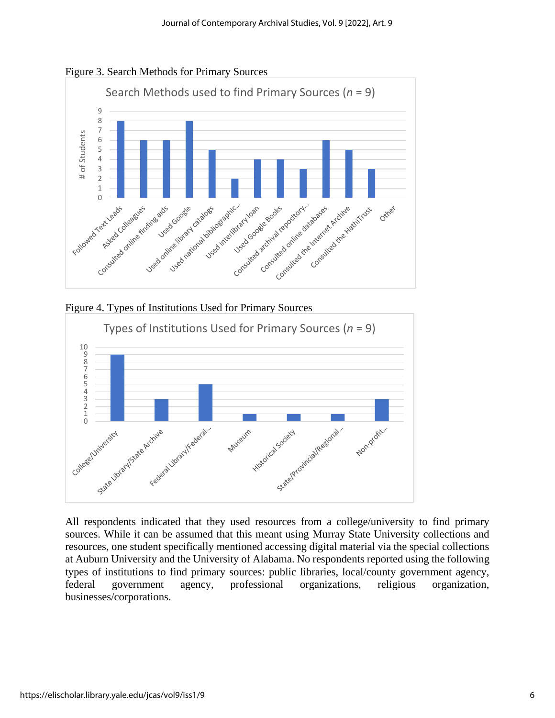







All respondents indicated that they used resources from a college/university to find primary sources. While it can be assumed that this meant using Murray State University collections and resources, one student specifically mentioned accessing digital material via the special collections at Auburn University and the University of Alabama. No respondents reported using the following types of institutions to find primary sources: public libraries, local/county government agency, federal government agency, professional organizations, religious organization, businesses/corporations.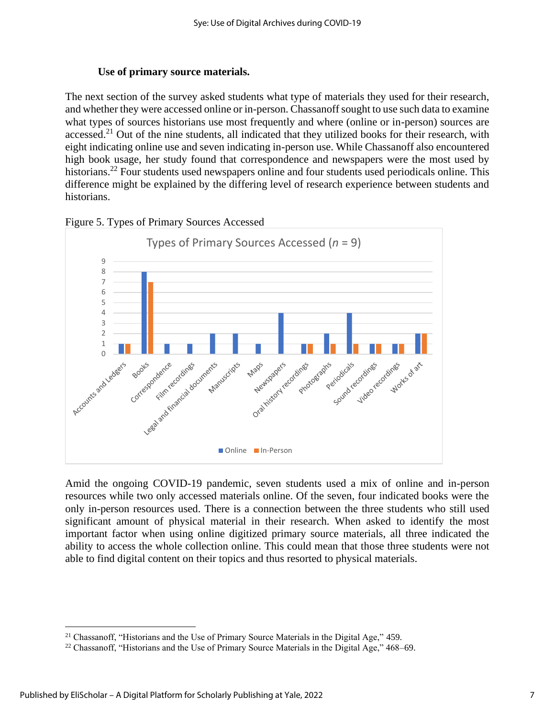#### **Use of primary source materials.**

The next section of the survey asked students what type of materials they used for their research, and whether they were accessed online or in-person. Chassanoff sought to use such data to examine what types of sources historians use most frequently and where (online or in-person) sources are accessed.<sup>21</sup> Out of the nine students, all indicated that they utilized books for their research, with eight indicating online use and seven indicating in-person use. While Chassanoff also encountered high book usage, her study found that correspondence and newspapers were the most used by historians.<sup>22</sup> Four students used newspapers online and four students used periodicals online. This difference might be explained by the differing level of research experience between students and historians.



Figure 5. Types of Primary Sources Accessed

Amid the ongoing COVID-19 pandemic, seven students used a mix of online and in-person resources while two only accessed materials online. Of the seven, four indicated books were the only in-person resources used. There is a connection between the three students who still used significant amount of physical material in their research. When asked to identify the most important factor when using online digitized primary source materials, all three indicated the ability to access the whole collection online. This could mean that those three students were not able to find digital content on their topics and thus resorted to physical materials.

<sup>&</sup>lt;sup>21</sup> Chassanoff, "Historians and the Use of Primary Source Materials in the Digital Age," 459.

<sup>&</sup>lt;sup>22</sup> Chassanoff, "Historians and the Use of Primary Source Materials in the Digital Age," 468–69.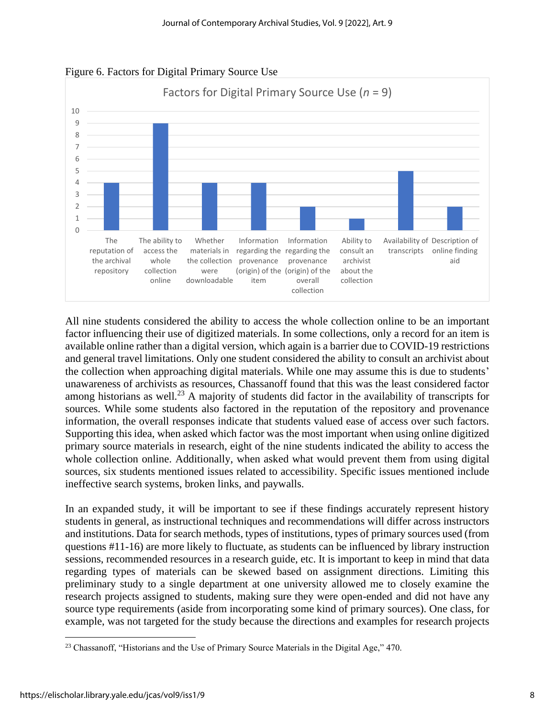

Figure 6. Factors for Digital Primary Source Use

All nine students considered the ability to access the whole collection online to be an important factor influencing their use of digitized materials. In some collections, only a record for an item is available online rather than a digital version, which again is a barrier due to COVID-19 restrictions and general travel limitations. Only one student considered the ability to consult an archivist about the collection when approaching digital materials. While one may assume this is due to students' unawareness of archivists as resources, Chassanoff found that this was the least considered factor among historians as well.<sup>23</sup> A majority of students did factor in the availability of transcripts for sources. While some students also factored in the reputation of the repository and provenance information, the overall responses indicate that students valued ease of access over such factors. Supporting this idea, when asked which factor was the most important when using online digitized primary source materials in research, eight of the nine students indicated the ability to access the whole collection online. Additionally, when asked what would prevent them from using digital sources, six students mentioned issues related to accessibility. Specific issues mentioned include ineffective search systems, broken links, and paywalls.

In an expanded study, it will be important to see if these findings accurately represent history students in general, as instructional techniques and recommendations will differ across instructors and institutions. Data for search methods, types of institutions, types of primary sources used (from questions #11-16) are more likely to fluctuate, as students can be influenced by library instruction sessions, recommended resources in a research guide, etc. It is important to keep in mind that data regarding types of materials can be skewed based on assignment directions. Limiting this preliminary study to a single department at one university allowed me to closely examine the research projects assigned to students, making sure they were open-ended and did not have any source type requirements (aside from incorporating some kind of primary sources). One class, for example, was not targeted for the study because the directions and examples for research projects

<sup>&</sup>lt;sup>23</sup> Chassanoff, "Historians and the Use of Primary Source Materials in the Digital Age," 470.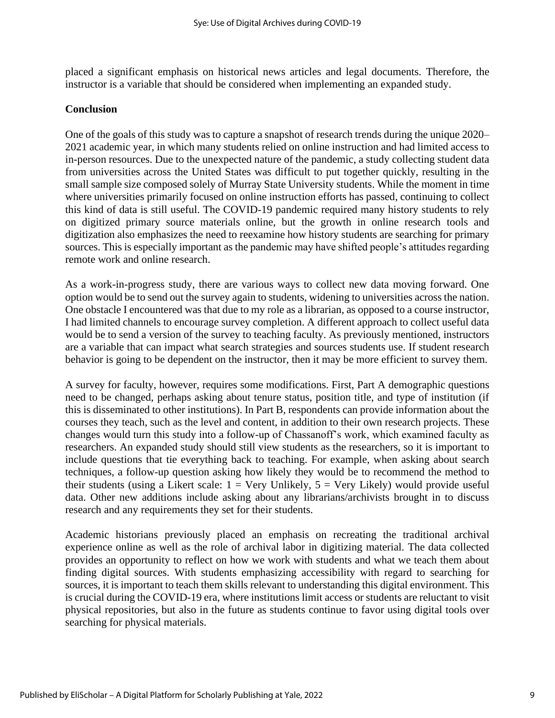placed a significant emphasis on historical news articles and legal documents. Therefore, the instructor is a variable that should be considered when implementing an expanded study.

#### **Conclusion**

One of the goals of this study was to capture a snapshot of research trends during the unique 2020– 2021 academic year, in which many students relied on online instruction and had limited access to in-person resources. Due to the unexpected nature of the pandemic, a study collecting student data from universities across the United States was difficult to put together quickly, resulting in the small sample size composed solely of Murray State University students. While the moment in time where universities primarily focused on online instruction efforts has passed, continuing to collect this kind of data is still useful. The COVID-19 pandemic required many history students to rely on digitized primary source materials online, but the growth in online research tools and digitization also emphasizes the need to reexamine how history students are searching for primary sources. This is especially important as the pandemic may have shifted people's attitudes regarding remote work and online research.

As a work-in-progress study, there are various ways to collect new data moving forward. One option would be to send out the survey again to students, widening to universities across the nation. One obstacle I encountered was that due to my role as a librarian, as opposed to a course instructor, I had limited channels to encourage survey completion. A different approach to collect useful data would be to send a version of the survey to teaching faculty. As previously mentioned, instructors are a variable that can impact what search strategies and sources students use. If student research behavior is going to be dependent on the instructor, then it may be more efficient to survey them.

A survey for faculty, however, requires some modifications. First, Part A demographic questions need to be changed, perhaps asking about tenure status, position title, and type of institution (if this is disseminated to other institutions). In Part B, respondents can provide information about the courses they teach, such as the level and content, in addition to their own research projects. These changes would turn this study into a follow-up of Chassanoff's work, which examined faculty as researchers. An expanded study should still view students as the researchers, so it is important to include questions that tie everything back to teaching. For example, when asking about search techniques, a follow-up question asking how likely they would be to recommend the method to their students (using a Likert scale:  $1 = \text{Very Unlikely}, 5 = \text{Very Likely}$ ) would provide useful data. Other new additions include asking about any librarians/archivists brought in to discuss research and any requirements they set for their students.

Academic historians previously placed an emphasis on recreating the traditional archival experience online as well as the role of archival labor in digitizing material. The data collected provides an opportunity to reflect on how we work with students and what we teach them about finding digital sources. With students emphasizing accessibility with regard to searching for sources, it is important to teach them skills relevant to understanding this digital environment. This is crucial during the COVID-19 era, where institutions limit access or students are reluctant to visit physical repositories, but also in the future as students continue to favor using digital tools over searching for physical materials.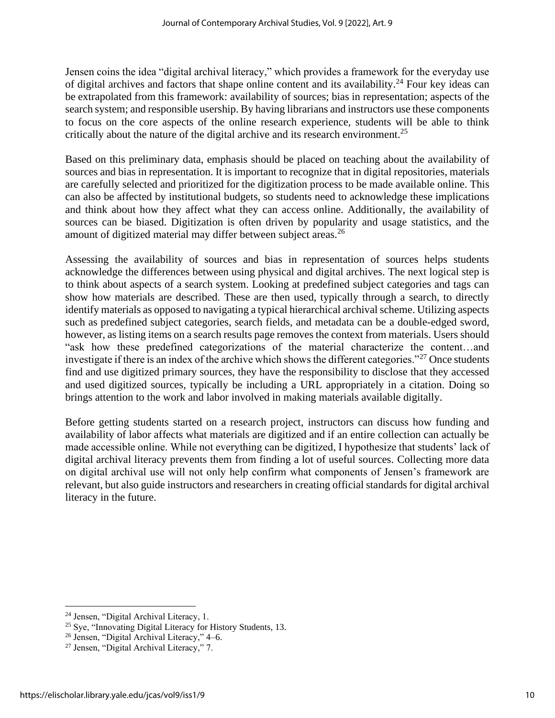Jensen coins the idea "digital archival literacy," which provides a framework for the everyday use of digital archives and factors that shape online content and its availability.<sup>24</sup> Four key ideas can be extrapolated from this framework: availability of sources; bias in representation; aspects of the search system; and responsible usership. By having librarians and instructors use these components to focus on the core aspects of the online research experience, students will be able to think critically about the nature of the digital archive and its research environment.<sup>25</sup>

Based on this preliminary data, emphasis should be placed on teaching about the availability of sources and bias in representation. It is important to recognize that in digital repositories, materials are carefully selected and prioritized for the digitization process to be made available online. This can also be affected by institutional budgets, so students need to acknowledge these implications and think about how they affect what they can access online. Additionally, the availability of sources can be biased. Digitization is often driven by popularity and usage statistics, and the amount of digitized material may differ between subject areas.<sup>26</sup>

Assessing the availability of sources and bias in representation of sources helps students acknowledge the differences between using physical and digital archives. The next logical step is to think about aspects of a search system. Looking at predefined subject categories and tags can show how materials are described. These are then used, typically through a search, to directly identify materials as opposed to navigating a typical hierarchical archival scheme. Utilizing aspects such as predefined subject categories, search fields, and metadata can be a double-edged sword, however, as listing items on a search results page removes the context from materials. Users should "ask how these predefined categorizations of the material characterize the content…and investigate if there is an index of the archive which shows the different categories."<sup>27</sup> Once students find and use digitized primary sources, they have the responsibility to disclose that they accessed and used digitized sources, typically be including a URL appropriately in a citation. Doing so brings attention to the work and labor involved in making materials available digitally.

Before getting students started on a research project, instructors can discuss how funding and availability of labor affects what materials are digitized and if an entire collection can actually be made accessible online. While not everything can be digitized, I hypothesize that students' lack of digital archival literacy prevents them from finding a lot of useful sources. Collecting more data on digital archival use will not only help confirm what components of Jensen's framework are relevant, but also guide instructors and researchers in creating official standards for digital archival literacy in the future.

<sup>&</sup>lt;sup>24</sup> Jensen, "Digital Archival Literacy, 1.

<sup>&</sup>lt;sup>25</sup> Sye, "Innovating Digital Literacy for History Students, 13.

<sup>26</sup> Jensen, "Digital Archival Literacy," 4–6.

<sup>27</sup> Jensen, "Digital Archival Literacy," 7.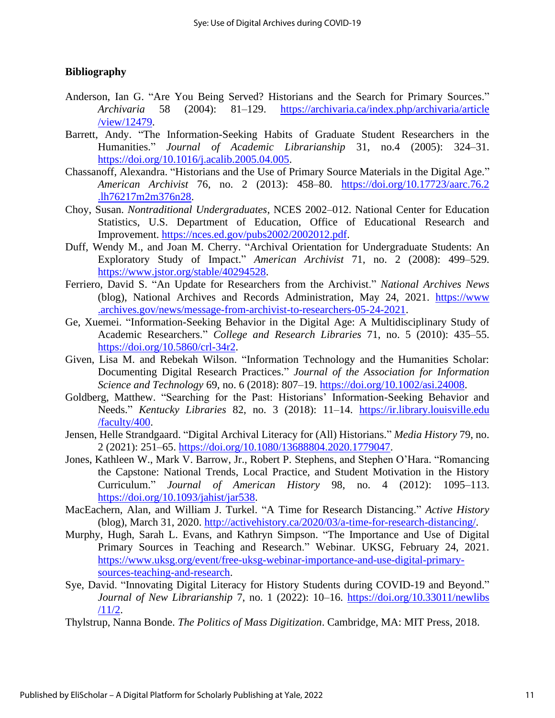# **Bibliography**

- Anderson, Ian G. "Are You Being Served? Historians and the Search for Primary Sources." *Archivaria* 58 (2004): 81–129. [https://archivaria.ca/index.php/archivaria/article](https://archivaria.ca/index.php/archivaria/article/view/12479) [/view/12479.](https://archivaria.ca/index.php/archivaria/article/view/12479)
- Barrett, Andy. "The Information-Seeking Habits of Graduate Student Researchers in the Humanities." *Journal of Academic Librarianship* 31, no.4 (2005): 324–31. [https://doi.org/10.1016/j.acalib.2005.04.005.](https://doi.org/10.1016/j.acalib.2005.04.005)
- Chassanoff, Alexandra. "Historians and the Use of Primary Source Materials in the Digital Age." *American Archivist* 76, no. 2 (2013): 458–80. [https://doi.org/10.17723/aarc.76.2](https://doi.org/10.17723/aarc.76.2.lh76217m2m376n28) [.lh76217m2m376n28.](https://doi.org/10.17723/aarc.76.2.lh76217m2m376n28)
- Choy, Susan. *Nontraditional Undergraduates*, NCES 2002–012. National Center for Education Statistics, U.S. Department of Education, Office of Educational Research and Improvement. [https://nces.ed.gov/pubs2002/2002012.pdf.](https://nces.ed.gov/pubs2002/2002012.pdf)
- Duff, Wendy M., and Joan M. Cherry. "Archival Orientation for Undergraduate Students: An Exploratory Study of Impact." *American Archivist* 71, no. 2 (2008): 499–529. [https://www.jstor.org/stable/40294528.](https://www.jstor.org/stable/40294528)
- Ferriero, David S. "An Update for Researchers from the Archivist." *National Archives News* (blog), National Archives and Records Administration, May 24, 2021. [https://www](https://www.archives.gov/news/message-from-archivist-to-researchers-05-24-2021) [.archives.gov/news/message-from-archivist-to-researchers-05-24-2021.](https://www.archives.gov/news/message-from-archivist-to-researchers-05-24-2021)
- Ge, Xuemei. "Information-Seeking Behavior in the Digital Age: A Multidisciplinary Study of Academic Researchers." *College and Research Libraries* 71, no. 5 (2010): 435–55. [https://doi.org/10.5860/crl-34r2.](https://doi.org/10.5860/crl-34r2)
- Given, Lisa M. and Rebekah Wilson. "Information Technology and the Humanities Scholar: Documenting Digital Research Practices." *Journal of the Association for Information Science and Technology* 69, no. 6 (2018): 807–19. [https://doi.org/10.1002/asi.24008.](https://doi.org/10.1002/asi.24008)
- Goldberg, Matthew. "Searching for the Past: Historians' Information-Seeking Behavior and Needs." *Kentucky Libraries* 82, no. 3 (2018): 11–14. [https://ir.library.louisville.edu](https://ir.library.louisville.edu/faculty/400) [/faculty/400.](https://ir.library.louisville.edu/faculty/400)
- Jensen, Helle Strandgaard. "Digital Archival Literacy for (All) Historians." *Media History* 79, no. 2 (2021): 251–65. [https://doi.org/10.1080/13688804.2020.1779047.](https://doi.org/10.1080/13688804.2020.1779047)
- Jones, Kathleen W., Mark V. Barrow, Jr., Robert P. Stephens, and Stephen O'Hara. "Romancing the Capstone: National Trends, Local Practice, and Student Motivation in the History Curriculum." *Journal of American History* 98, no. 4 (2012): 1095–113. [https://doi.org/10.1093/jahist/jar538.](https://doi.org/10.1093/jahist/jar538)
- MacEachern, Alan, and William J. Turkel. "A Time for Research Distancing." *Active History* (blog), March 31, 2020. [http://activehistory.ca/2020/03/a-time-for-research-distancing/.](http://activehistory.ca/2020/03/a-time-for-research-distancing/)
- Murphy, Hugh, Sarah L. Evans, and Kathryn Simpson. "The Importance and Use of Digital Primary Sources in Teaching and Research." Webinar. UKSG, February 24, 2021. [https://www.uksg.org/event/free-uksg-webinar-importance-and-use-digital-primary](https://www.uksg.org/event/free-uksg-webinar-importance-and-use-digital-primary-sources-teaching-and-research)[sources-teaching-and-research.](https://www.uksg.org/event/free-uksg-webinar-importance-and-use-digital-primary-sources-teaching-and-research)
- Sye, David. "Innovating Digital Literacy for History Students during COVID-19 and Beyond." *Journal of New Librarianship* 7, no. 1 (2022): 10–16. [https://doi.org/10.33011/newlibs](https://doi.org/10.33011/newlibs/11/2) [/11/2.](https://doi.org/10.33011/newlibs/11/2)
- Thylstrup, Nanna Bonde. *The Politics of Mass Digitization*. Cambridge, MA: MIT Press, 2018.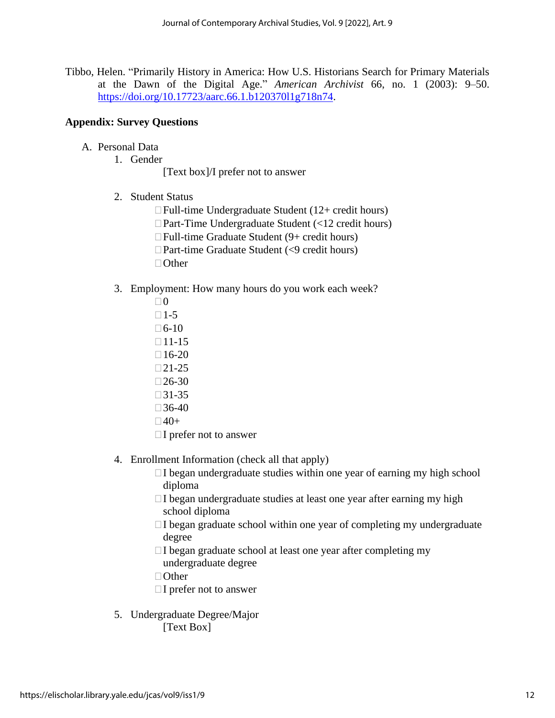Tibbo, Helen. "Primarily History in America: How U.S. Historians Search for Primary Materials at the Dawn of the Digital Age." *American Archivist* 66, no. 1 (2003): 9–50. [https://doi.org/10.17723/aarc.66.1.b120370l1g718n74.](https://doi.org/10.17723/aarc.66.1.b120370l1g718n74)

#### **Appendix: Survey Questions**

- A. Personal Data
	- 1. Gender

[Text box]/I prefer not to answer

2. Student Status

Full-time Undergraduate Student (12+ credit hours) □ Part-Time Undergraduate Student (<12 credit hours) Full-time Graduate Student (9+ credit hours)  $\Box$  Part-time Graduate Student (<9 credit hours)  $\Box$  Other

- 3. Employment: How many hours do you work each week?
	- $\Box$ 0  $\Box$  1-5
	- $\Box$  6-10
	- $\Box$ 11-15
	- $\Box$ 16-20
	- $\Box 21-25$
	- $\Box$ 26-30
	- $\Box$ 31-35
	- $\Box$ 36-40
	- $\Box$ 40+
	- $\Box$  I prefer not to answer
- 4. Enrollment Information (check all that apply)
	- $\Box$ I began undergraduate studies within one year of earning my high school diploma
	- $\Box$  I began undergraduate studies at least one year after earning my high school diploma
	- $\Box$ I began graduate school within one year of completing my undergraduate degree
	- $\Box$  I began graduate school at least one year after completing my undergraduate degree
	- □ Other
	- $\Box$  I prefer not to answer
- 5. Undergraduate Degree/Major [Text Box]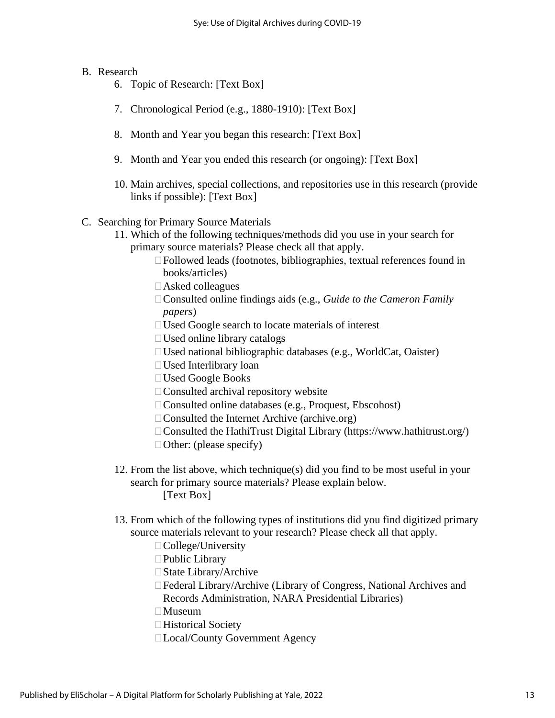# B. Research

- 6. Topic of Research: [Text Box]
- 7. Chronological Period (e.g., 1880-1910): [Text Box]
- 8. Month and Year you began this research: [Text Box]
- 9. Month and Year you ended this research (or ongoing): [Text Box]
- 10. Main archives, special collections, and repositories use in this research (provide links if possible): [Text Box]
- C. Searching for Primary Source Materials
	- 11. Which of the following techniques/methods did you use in your search for primary source materials? Please check all that apply.
		- Followed leads (footnotes, bibliographies, textual references found in books/articles)
		- Asked colleagues
		- Consulted online findings aids (e.g., *Guide to the Cameron Family papers*)
		- Used Google search to locate materials of interest
		- Used online library catalogs
		- $\Box$  Used national bibliographic databases (e.g., WorldCat, Oaister)
		- Used Interlibrary loan
		- Used Google Books
		- $\Box$  Consulted archival repository website
		- □ Consulted online databases (e.g., Proquest, Ebscohost)
		- $\Box$  Consulted the Internet Archive (archive.org)
		- Consulted the HathiTrust Digital Library (https://www.hathitrust.org/)
		- $\Box$  Other: (please specify)
	- 12. From the list above, which technique(s) did you find to be most useful in your search for primary source materials? Please explain below. [Text Box]
	- 13. From which of the following types of institutions did you find digitized primary source materials relevant to your research? Please check all that apply.
		- □ College/University
		- □ Public Library
		- □ State Library/Archive
		- Federal Library/Archive (Library of Congress, National Archives and Records Administration, NARA Presidential Libraries)
		- $\Box$ Museum
		- □Historical Society
		- □Local/County Government Agency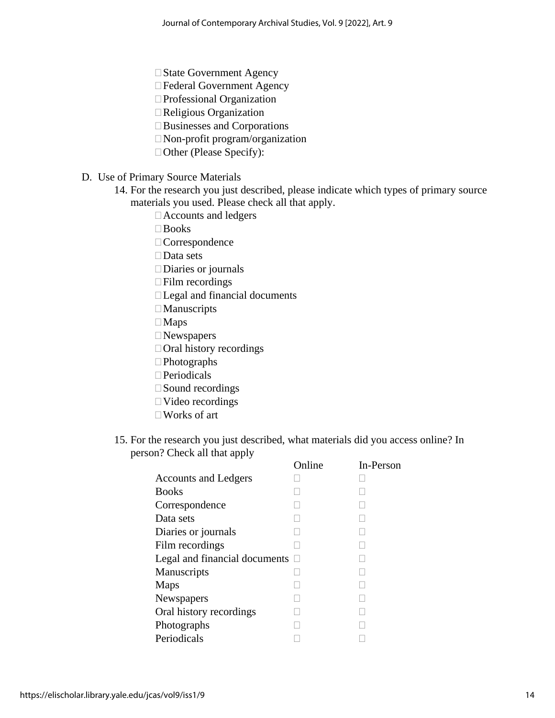□ State Government Agency

Federal Government Agency

□ Professional Organization

Religious Organization

Businesses and Corporations

Non-profit program/organization

□ Other (Please Specify):

# D. Use of Primary Source Materials

14. For the research you just described, please indicate which types of primary source materials you used. Please check all that apply.

Accounts and ledgers

Books

□ Correspondence

□Data sets

□Diaries or journals

Film recordings

Legal and financial documents

□ Manuscripts

□ Maps

□ Newspapers

 $\Box$  Oral history recordings

□Photographs

□ Periodicals

□ Sound recordings

Video recordings

Works of art

15. For the research you just described, what materials did you access online? In person? Check all that apply

|                               | Online | In-Person |
|-------------------------------|--------|-----------|
| <b>Accounts and Ledgers</b>   |        |           |
| <b>Books</b>                  |        |           |
| Correspondence                |        |           |
| Data sets                     |        |           |
| Diaries or journals           |        |           |
| Film recordings               |        |           |
| Legal and financial documents |        |           |
| Manuscripts                   |        |           |
| Maps                          |        |           |
| Newspapers                    |        |           |
| Oral history recordings       |        |           |
| Photographs                   |        |           |
| Periodicals                   |        |           |
|                               |        |           |